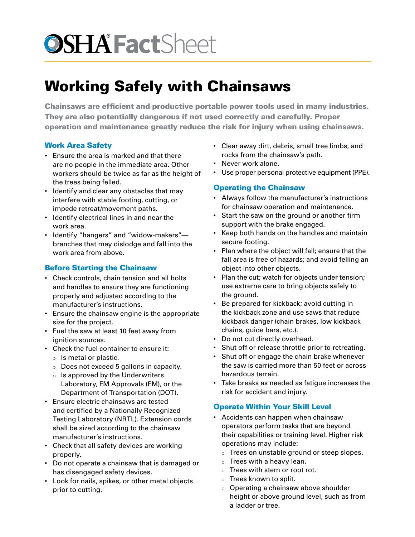# **OSHA Fact**Sheet

# Working Safely with Chainsaws

Chainsaws are efficient and productive portable power tools used in many industries. They are also potentially dangerous if not used correctly and carefully. Proper operation and maintenance greatly reduce the risk for injury when using chainsaws.

## Work Area Safety

- Ensure the area is marked and that there are no people in the immediate area. Other workers should be twice as far as the height of the trees being felled.
- Identify and clear any obstacles that may interfere with stable footing, cutting, or impede retreat/movement paths.
- Identify electrical lines in and near the work area.
- Identify "hangers" and "widow-makers" branches that may dislodge and fall into the work area from above.

# Before Starting the Chainsaw

- Check controls, chain tension and all bolts and handles to ensure they are functioning properly and adjusted according to the manufacturer's instructions.
- Ensure the chainsaw engine is the appropriate size for the project.
- Fuel the saw at least 10 feet away from ignition sources.
- Check the fuel container to ensure it:
	- $\circ$  ls metal or plastic.
	- $\circ$  Does not exceed 5 gallons in capacity.
	- $\circ$  Is approved by the Underwriters Laboratory, FM Approvals (FM), or the Department of Transportation (DOT).
- Ensure electric chainsaws are tested and certified by a Nationally Recognized Testing Laboratory (NRTL). Extension cords shall be sized according to the chainsaw manufacturer's instructions.
- Check that all safety devices are working properly.
- Do not operate a chainsaw that is damaged or has disengaged safety devices.
- Look for nails, spikes, or other metal objects prior to cutting.
- Clear away dirt, debris, small tree limbs, and rocks from the chainsaw's path.
- Never work alone.
- Use proper personal protective equipment (PPE).

## Operating the Chainsaw

- Always follow the manufacturer's instructions for chainsaw operation and maintenance.
- Start the saw on the ground or another firm support with the brake engaged.
- Keep both hands on the handles and maintain secure footing.
- Plan where the object will fall; ensure that the fall area is free of hazards; and avoid felling an object into other objects.
- Plan the cut; watch for objects under tension; use extreme care to bring objects safely to the ground.
- Be prepared for kickback; avoid cutting in the kickback zone and use saws that reduce kickback danger (chain brakes, low kickback chains, guide bars, etc.).
- Do not cut directly overhead.
- Shut off or release throttle prior to retreating.
- Shut off or engage the chain brake whenever the saw is carried more than 50 feet or across hazardous terrain.
- Take breaks as needed as fatigue increases the risk for accident and injury.

# Operate Within Your Skill Level

- Accidents can happen when chainsaw operators perform tasks that are beyond their capabilities or training level. Higher risk operations may include:
	- $\circ$  Trees on unstable ground or steep slopes.
	- $\circ$  Trees with a heavy lean.
	- $\circ$  Trees with stem or root rot.
	- $\circ$  Trees known to split.
	- $\circ$  Operating a chainsaw above shoulder height or above ground level, such as from a ladder or tree.